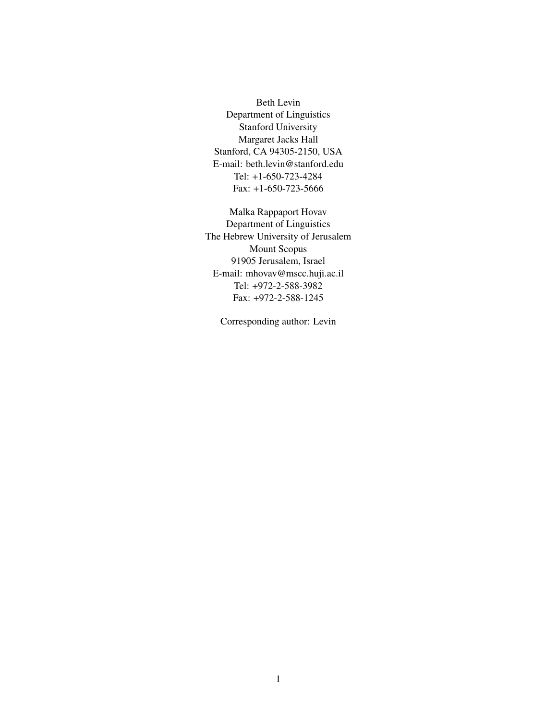Beth Levin Department of Linguistics Stanford University Margaret Jacks Hall Stanford, CA 94305-2150, USA E-mail: beth.levin@stanford.edu Tel: +1-650-723-4284 Fax: +1-650-723-5666

Malka Rappaport Hovav Department of Linguistics The Hebrew University of Jerusalem Mount Scopus 91905 Jerusalem, Israel E-mail: mhovav@mscc.huji.ac.il Tel: +972-2-588-3982 Fax: +972-2-588-1245

Corresponding author: Levin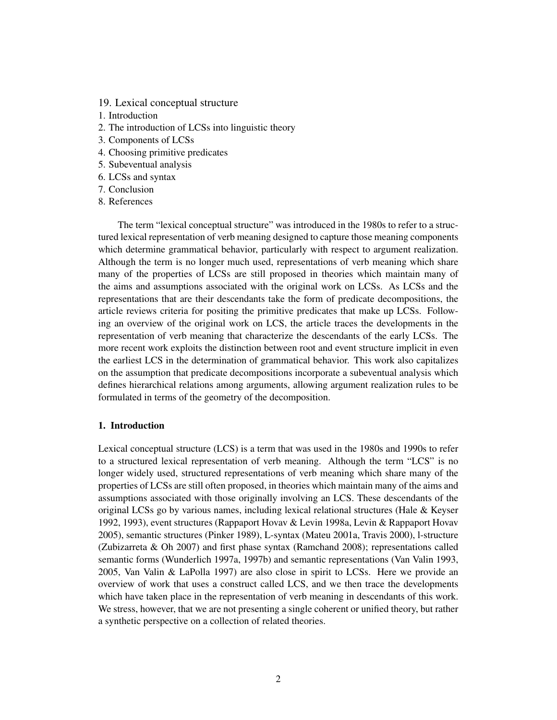- 19. Lexical conceptual structure
- 1. Introduction
- 2. The introduction of LCSs into linguistic theory
- 3. Components of LCSs
- 4. Choosing primitive predicates
- 5. Subeventual analysis
- 6. LCSs and syntax
- 7. Conclusion
- 8. References

The term "lexical conceptual structure" was introduced in the 1980s to refer to a structured lexical representation of verb meaning designed to capture those meaning components which determine grammatical behavior, particularly with respect to argument realization. Although the term is no longer much used, representations of verb meaning which share many of the properties of LCSs are still proposed in theories which maintain many of the aims and assumptions associated with the original work on LCSs. As LCSs and the representations that are their descendants take the form of predicate decompositions, the article reviews criteria for positing the primitive predicates that make up LCSs. Following an overview of the original work on LCS, the article traces the developments in the representation of verb meaning that characterize the descendants of the early LCSs. The more recent work exploits the distinction between root and event structure implicit in even the earliest LCS in the determination of grammatical behavior. This work also capitalizes on the assumption that predicate decompositions incorporate a subeventual analysis which defines hierarchical relations among arguments, allowing argument realization rules to be formulated in terms of the geometry of the decomposition.

# 1. Introduction

Lexical conceptual structure (LCS) is a term that was used in the 1980s and 1990s to refer to a structured lexical representation of verb meaning. Although the term "LCS" is no longer widely used, structured representations of verb meaning which share many of the properties of LCSs are still often proposed, in theories which maintain many of the aims and assumptions associated with those originally involving an LCS. These descendants of the original LCSs go by various names, including lexical relational structures (Hale & Keyser 1992, 1993), event structures (Rappaport Hovav & Levin 1998a, Levin & Rappaport Hovav 2005), semantic structures (Pinker 1989), L-syntax (Mateu 2001a, Travis 2000), l-structure (Zubizarreta & Oh 2007) and first phase syntax (Ramchand 2008); representations called semantic forms (Wunderlich 1997a, 1997b) and semantic representations (Van Valin 1993, 2005, Van Valin & LaPolla 1997) are also close in spirit to LCSs. Here we provide an overview of work that uses a construct called LCS, and we then trace the developments which have taken place in the representation of verb meaning in descendants of this work. We stress, however, that we are not presenting a single coherent or unified theory, but rather a synthetic perspective on a collection of related theories.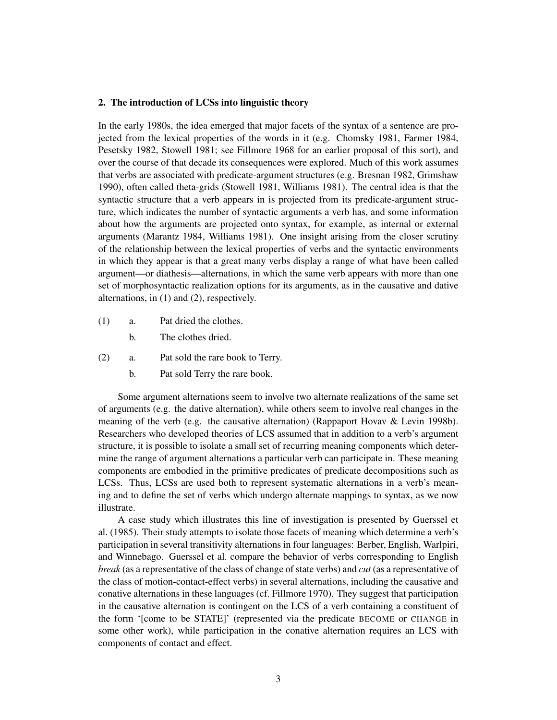# 2. The introduction of LCSs into linguistic theory

In the early 1980s, the idea emerged that major facets of the syntax of a sentence are projected from the lexical properties of the words in it (e.g. Chomsky 1981, Farmer 1984, Pesetsky 1982, Stowell 1981; see Fillmore 1968 for an earlier proposal of this sort), and over the course of that decade its consequences were explored. Much of this work assumes that verbs are associated with predicate-argument structures (e.g. Bresnan 1982, Grimshaw 1990), often called theta-grids (Stowell 1981, Williams 1981). The central idea is that the syntactic structure that a verb appears in is projected from its predicate-argument structure, which indicates the number of syntactic arguments a verb has, and some information about how the arguments are projected onto syntax, for example, as internal or external arguments (Marantz 1984, Williams 1981). One insight arising from the closer scrutiny of the relationship between the lexical properties of verbs and the syntactic environments in which they appear is that a great many verbs display a range of what have been called argument—or diathesis—alternations, in which the same verb appears with more than one set of morphosyntactic realization options for its arguments, as in the causative and dative alternations, in (1) and (2), respectively.

- (1) a. Pat dried the clothes.
	- b. The clothes dried.
- (2) a. Pat sold the rare book to Terry.
	- b. Pat sold Terry the rare book.

Some argument alternations seem to involve two alternate realizations of the same set of arguments (e.g. the dative alternation), while others seem to involve real changes in the meaning of the verb (e.g. the causative alternation) (Rappaport Hovav  $\&$  Levin 1998b). Researchers who developed theories of LCS assumed that in addition to a verb's argument structure, it is possible to isolate a small set of recurring meaning components which determine the range of argument alternations a particular verb can participate in. These meaning components are embodied in the primitive predicates of predicate decompositions such as LCSs. Thus, LCSs are used both to represent systematic alternations in a verb's meaning and to define the set of verbs which undergo alternate mappings to syntax, as we now illustrate.

A case study which illustrates this line of investigation is presented by Guerssel et al. (1985). Their study attempts to isolate those facets of meaning which determine a verb's participation in several transitivity alternations in four languages: Berber, English, Warlpiri, and Winnebago. Guerssel et al. compare the behavior of verbs corresponding to English *break* (as a representative of the class of change of state verbs) and *cut* (as a representative of the class of motion-contact-effect verbs) in several alternations, including the causative and conative alternations in these languages (cf. Fillmore 1970). They suggest that participation in the causative alternation is contingent on the LCS of a verb containing a constituent of the form '[come to be STATE]' (represented via the predicate BECOME or CHANGE in some other work), while participation in the conative alternation requires an LCS with components of contact and effect.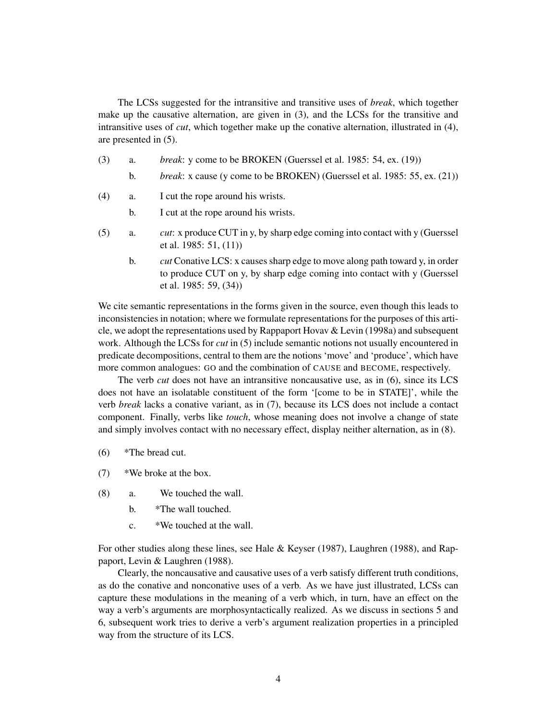The LCSs suggested for the intransitive and transitive uses of *break*, which together make up the causative alternation, are given in (3), and the LCSs for the transitive and intransitive uses of *cut*, which together make up the conative alternation, illustrated in (4), are presented in (5).

- (3) a. *break*: y come to be BROKEN (Guerssel et al. 1985: 54, ex. (19))
	- b. *break*: x cause (y come to be BROKEN) (Guerssel et al. 1985: 55, ex. (21))
- (4) a. I cut the rope around his wrists.
	- b. I cut at the rope around his wrists.
- (5) a. *cut*: x produce CUT in y, by sharp edge coming into contact with y (Guerssel et al. 1985: 51, (11))
	- b. *cut* Conative LCS: x causes sharp edge to move along path toward y, in order to produce CUT on y, by sharp edge coming into contact with y (Guerssel et al. 1985: 59, (34))

We cite semantic representations in the forms given in the source, even though this leads to inconsistencies in notation; where we formulate representations for the purposes of this article, we adopt the representations used by Rappaport Hovav  $&$  Levin (1998a) and subsequent work. Although the LCSs for *cut* in (5) include semantic notions not usually encountered in predicate decompositions, central to them are the notions 'move' and 'produce', which have more common analogues: GO and the combination of CAUSE and BECOME, respectively.

The verb *cut* does not have an intransitive noncausative use, as in (6), since its LCS does not have an isolatable constituent of the form '[come to be in STATE]', while the verb *break* lacks a conative variant, as in (7), because its LCS does not include a contact component. Finally, verbs like *touch*, whose meaning does not involve a change of state and simply involves contact with no necessary effect, display neither alternation, as in (8).

- (6) \*The bread cut.
- (7) \*We broke at the box.
- (8) a. We touched the wall.
	- b. \*The wall touched.
	- c. \*We touched at the wall.

For other studies along these lines, see Hale & Keyser (1987), Laughren (1988), and Rappaport, Levin & Laughren (1988).

Clearly, the noncausative and causative uses of a verb satisfy different truth conditions, as do the conative and nonconative uses of a verb. As we have just illustrated, LCSs can capture these modulations in the meaning of a verb which, in turn, have an effect on the way a verb's arguments are morphosyntactically realized. As we discuss in sections 5 and 6, subsequent work tries to derive a verb's argument realization properties in a principled way from the structure of its LCS.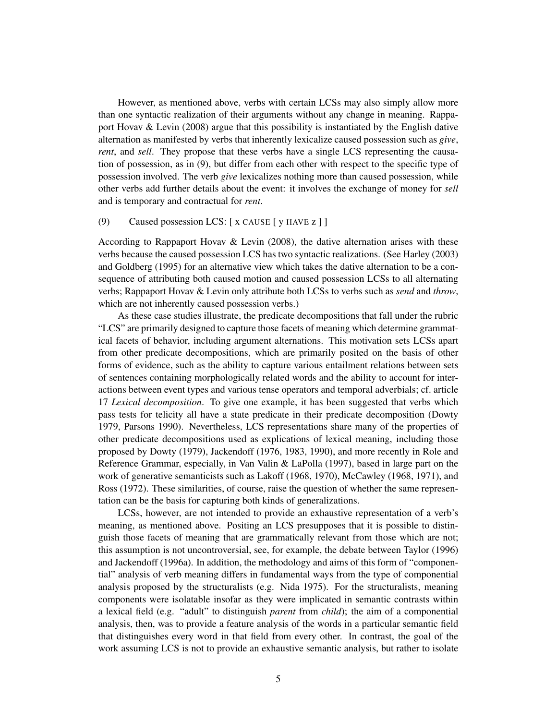However, as mentioned above, verbs with certain LCSs may also simply allow more than one syntactic realization of their arguments without any change in meaning. Rappaport Hovav & Levin (2008) argue that this possibility is instantiated by the English dative alternation as manifested by verbs that inherently lexicalize caused possession such as *give*, *rent*, and *sell*. They propose that these verbs have a single LCS representing the causation of possession, as in (9), but differ from each other with respect to the specific type of possession involved. The verb *give* lexicalizes nothing more than caused possession, while other verbs add further details about the event: it involves the exchange of money for *sell* and is temporary and contractual for *rent*.

# (9) Caused possession LCS: [ x CAUSE [ y HAVE z]]

According to Rappaport Hovav & Levin (2008), the dative alternation arises with these verbs because the caused possession LCS has two syntactic realizations. (See Harley (2003) and Goldberg (1995) for an alternative view which takes the dative alternation to be a consequence of attributing both caused motion and caused possession LCSs to all alternating verbs; Rappaport Hovav & Levin only attribute both LCSs to verbs such as *send* and *throw*, which are not inherently caused possession verbs.)

As these case studies illustrate, the predicate decompositions that fall under the rubric "LCS" are primarily designed to capture those facets of meaning which determine grammatical facets of behavior, including argument alternations. This motivation sets LCSs apart from other predicate decompositions, which are primarily posited on the basis of other forms of evidence, such as the ability to capture various entailment relations between sets of sentences containing morphologically related words and the ability to account for interactions between event types and various tense operators and temporal adverbials; cf. article 17 *Lexical decomposition*. To give one example, it has been suggested that verbs which pass tests for telicity all have a state predicate in their predicate decomposition (Dowty 1979, Parsons 1990). Nevertheless, LCS representations share many of the properties of other predicate decompositions used as explications of lexical meaning, including those proposed by Dowty (1979), Jackendoff (1976, 1983, 1990), and more recently in Role and Reference Grammar, especially, in Van Valin & LaPolla (1997), based in large part on the work of generative semanticists such as Lakoff (1968, 1970), McCawley (1968, 1971), and Ross (1972). These similarities, of course, raise the question of whether the same representation can be the basis for capturing both kinds of generalizations.

LCSs, however, are not intended to provide an exhaustive representation of a verb's meaning, as mentioned above. Positing an LCS presupposes that it is possible to distinguish those facets of meaning that are grammatically relevant from those which are not; this assumption is not uncontroversial, see, for example, the debate between Taylor (1996) and Jackendoff (1996a). In addition, the methodology and aims of this form of "componential" analysis of verb meaning differs in fundamental ways from the type of componential analysis proposed by the structuralists (e.g. Nida 1975). For the structuralists, meaning components were isolatable insofar as they were implicated in semantic contrasts within a lexical field (e.g. "adult" to distinguish *parent* from *child*); the aim of a componential analysis, then, was to provide a feature analysis of the words in a particular semantic field that distinguishes every word in that field from every other. In contrast, the goal of the work assuming LCS is not to provide an exhaustive semantic analysis, but rather to isolate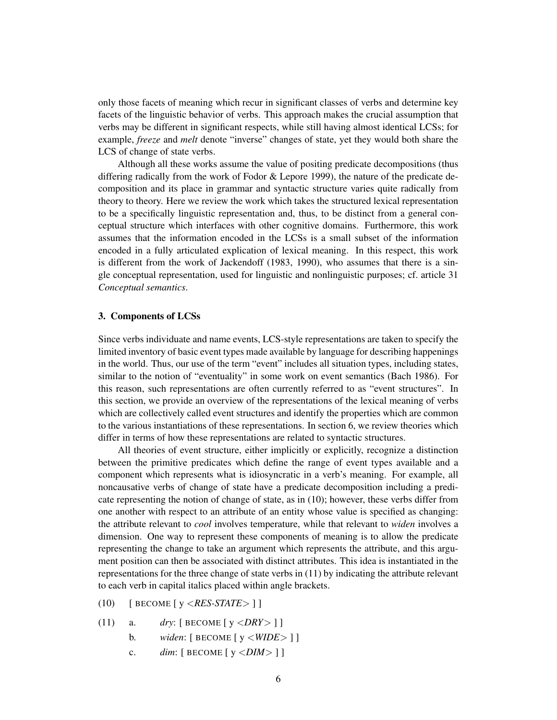only those facets of meaning which recur in significant classes of verbs and determine key facets of the linguistic behavior of verbs. This approach makes the crucial assumption that verbs may be different in significant respects, while still having almost identical LCSs; for example, *freeze* and *melt* denote "inverse" changes of state, yet they would both share the LCS of change of state verbs.

Although all these works assume the value of positing predicate decompositions (thus differing radically from the work of Fodor & Lepore 1999), the nature of the predicate decomposition and its place in grammar and syntactic structure varies quite radically from theory to theory. Here we review the work which takes the structured lexical representation to be a specifically linguistic representation and, thus, to be distinct from a general conceptual structure which interfaces with other cognitive domains. Furthermore, this work assumes that the information encoded in the LCSs is a small subset of the information encoded in a fully articulated explication of lexical meaning. In this respect, this work is different from the work of Jackendoff (1983, 1990), who assumes that there is a single conceptual representation, used for linguistic and nonlinguistic purposes; cf. article 31 *Conceptual semantics*.

### 3. Components of LCSs

Since verbs individuate and name events, LCS-style representations are taken to specify the limited inventory of basic event types made available by language for describing happenings in the world. Thus, our use of the term "event" includes all situation types, including states, similar to the notion of "eventuality" in some work on event semantics (Bach 1986). For this reason, such representations are often currently referred to as "event structures". In this section, we provide an overview of the representations of the lexical meaning of verbs which are collectively called event structures and identify the properties which are common to the various instantiations of these representations. In section 6, we review theories which differ in terms of how these representations are related to syntactic structures.

All theories of event structure, either implicitly or explicitly, recognize a distinction between the primitive predicates which define the range of event types available and a component which represents what is idiosyncratic in a verb's meaning. For example, all noncausative verbs of change of state have a predicate decomposition including a predicate representing the notion of change of state, as in (10); however, these verbs differ from one another with respect to an attribute of an entity whose value is specified as changing: the attribute relevant to *cool* involves temperature, while that relevant to *widen* involves a dimension. One way to represent these components of meaning is to allow the predicate representing the change to take an argument which represents the attribute, and this argument position can then be associated with distinct attributes. This idea is instantiated in the representations for the three change of state verbs in (11) by indicating the attribute relevant to each verb in capital italics placed within angle brackets.

- (10) [ BECOME [ y *<RES-STATE>* ] ]
- (11) a. *dry*: [ BECOME [ y *<DRY>* ] ]
	- b. *widen*: [ BECOME [ y *<WIDE>* ] ]
	- c. *dim*:  $[$  BECOME  $[y \leq DIM > 1]$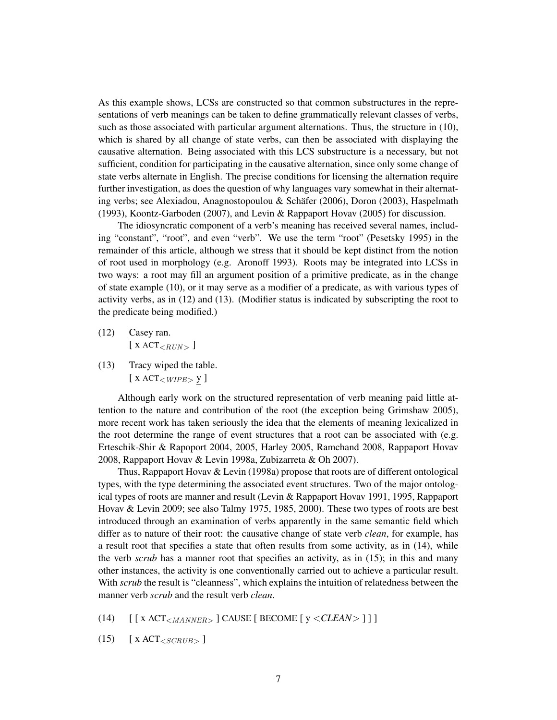As this example shows, LCSs are constructed so that common substructures in the representations of verb meanings can be taken to define grammatically relevant classes of verbs, such as those associated with particular argument alternations. Thus, the structure in (10), which is shared by all change of state verbs, can then be associated with displaying the causative alternation. Being associated with this LCS substructure is a necessary, but not sufficient, condition for participating in the causative alternation, since only some change of state verbs alternate in English. The precise conditions for licensing the alternation require further investigation, as does the question of why languages vary somewhat in their alternating verbs; see Alexiadou, Anagnostopoulou & Schäfer (2006), Doron (2003), Haspelmath (1993), Koontz-Garboden (2007), and Levin & Rappaport Hovav (2005) for discussion.

The idiosyncratic component of a verb's meaning has received several names, including "constant", "root", and even "verb". We use the term "root" (Pesetsky 1995) in the remainder of this article, although we stress that it should be kept distinct from the notion of root used in morphology (e.g. Aronoff 1993). Roots may be integrated into LCSs in two ways: a root may fill an argument position of a primitive predicate, as in the change of state example (10), or it may serve as a modifier of a predicate, as with various types of activity verbs, as in (12) and (13). (Modifier status is indicated by subscripting the root to the predicate being modified.)

- (12) Casey ran.  $\left[$  **x** ACT<sub><br/>*RUN*> $\left[$ </sub>
- (13) Tracy wiped the table. [ x ACT*<WIPE<sup>&</sup>gt;* y ]

Although early work on the structured representation of verb meaning paid little attention to the nature and contribution of the root (the exception being Grimshaw 2005), more recent work has taken seriously the idea that the elements of meaning lexicalized in the root determine the range of event structures that a root can be associated with (e.g. Erteschik-Shir & Rapoport 2004, 2005, Harley 2005, Ramchand 2008, Rappaport Hovav 2008, Rappaport Hovav & Levin 1998a, Zubizarreta & Oh 2007).

Thus, Rappaport Hovav & Levin (1998a) propose that roots are of different ontological types, with the type determining the associated event structures. Two of the major ontological types of roots are manner and result (Levin & Rappaport Hovav 1991, 1995, Rappaport Hovav & Levin 2009; see also Talmy 1975, 1985, 2000). These two types of roots are best introduced through an examination of verbs apparently in the same semantic field which differ as to nature of their root: the causative change of state verb *clean*, for example, has a result root that specifies a state that often results from some activity, as in (14), while the verb *scrub* has a manner root that specifies an activity, as in (15); in this and many other instances, the activity is one conventionally carried out to achieve a particular result. With *scrub* the result is "cleanness", which explains the intuition of relatedness between the manner verb *scrub* and the result verb *clean*.

(14) [ [ x ACT*<MANNER<sup>&</sup>gt;* ] CAUSE [ BECOME [ y *<CLEAN>* ]]]

(15) [ x ACT*<SCRUB<sup>&</sup>gt;* ]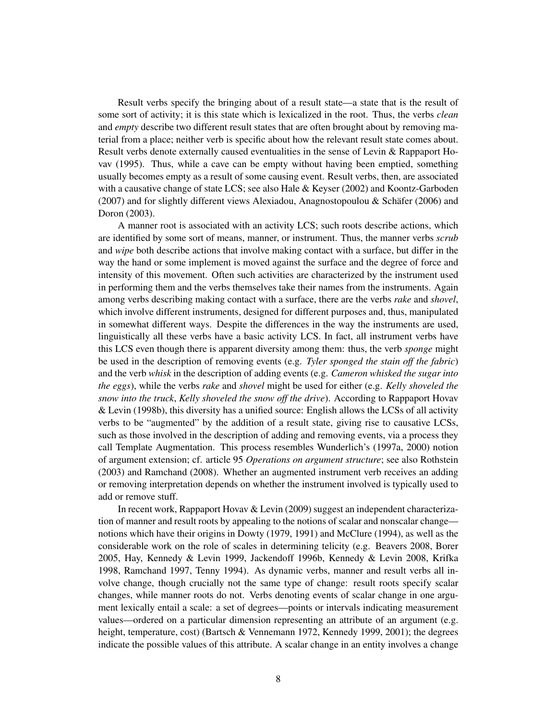Result verbs specify the bringing about of a result state—a state that is the result of some sort of activity; it is this state which is lexicalized in the root. Thus, the verbs *clean* and *empty* describe two different result states that are often brought about by removing material from a place; neither verb is specific about how the relevant result state comes about. Result verbs denote externally caused eventualities in the sense of Levin & Rappaport Hovav (1995). Thus, while a cave can be empty without having been emptied, something usually becomes empty as a result of some causing event. Result verbs, then, are associated with a causative change of state LCS; see also Hale & Keyser (2002) and Koontz-Garboden (2007) and for slightly different views Alexiadou, Anagnostopoulou & Schäfer (2006) and Doron (2003).

A manner root is associated with an activity LCS; such roots describe actions, which are identified by some sort of means, manner, or instrument. Thus, the manner verbs *scrub* and *wipe* both describe actions that involve making contact with a surface, but differ in the way the hand or some implement is moved against the surface and the degree of force and intensity of this movement. Often such activities are characterized by the instrument used in performing them and the verbs themselves take their names from the instruments. Again among verbs describing making contact with a surface, there are the verbs *rake* and *shovel*, which involve different instruments, designed for different purposes and, thus, manipulated in somewhat different ways. Despite the differences in the way the instruments are used, linguistically all these verbs have a basic activity LCS. In fact, all instrument verbs have this LCS even though there is apparent diversity among them: thus, the verb *sponge* might be used in the description of removing events (e.g. *Tyler sponged the stain off the fabric*) and the verb *whisk* in the description of adding events (e.g. *Cameron whisked the sugar into the eggs*), while the verbs *rake* and *shovel* might be used for either (e.g. *Kelly shoveled the snow into the truck*, *Kelly shoveled the snow off the drive*). According to Rappaport Hovav & Levin (1998b), this diversity has a unified source: English allows the LCSs of all activity verbs to be "augmented" by the addition of a result state, giving rise to causative LCSs, such as those involved in the description of adding and removing events, via a process they call Template Augmentation. This process resembles Wunderlich's (1997a, 2000) notion of argument extension; cf. article 95 *Operations on argument structure*; see also Rothstein (2003) and Ramchand (2008). Whether an augmented instrument verb receives an adding or removing interpretation depends on whether the instrument involved is typically used to add or remove stuff.

In recent work, Rappaport Hovav & Levin (2009) suggest an independent characterization of manner and result roots by appealing to the notions of scalar and nonscalar change notions which have their origins in Dowty (1979, 1991) and McClure (1994), as well as the considerable work on the role of scales in determining telicity (e.g. Beavers 2008, Borer 2005, Hay, Kennedy & Levin 1999, Jackendoff 1996b, Kennedy & Levin 2008, Krifka 1998, Ramchand 1997, Tenny 1994). As dynamic verbs, manner and result verbs all involve change, though crucially not the same type of change: result roots specify scalar changes, while manner roots do not. Verbs denoting events of scalar change in one argument lexically entail a scale: a set of degrees—points or intervals indicating measurement values—ordered on a particular dimension representing an attribute of an argument (e.g. height, temperature, cost) (Bartsch & Vennemann 1972, Kennedy 1999, 2001); the degrees indicate the possible values of this attribute. A scalar change in an entity involves a change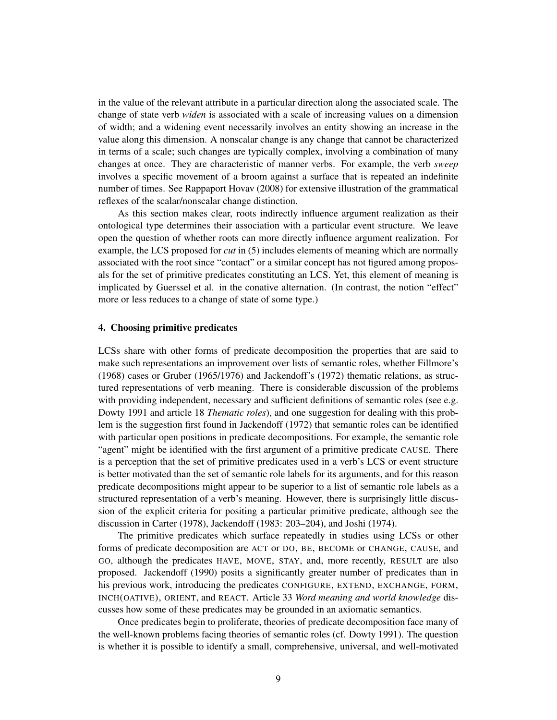in the value of the relevant attribute in a particular direction along the associated scale. The change of state verb *widen* is associated with a scale of increasing values on a dimension of width; and a widening event necessarily involves an entity showing an increase in the value along this dimension. A nonscalar change is any change that cannot be characterized in terms of a scale; such changes are typically complex, involving a combination of many changes at once. They are characteristic of manner verbs. For example, the verb *sweep* involves a specific movement of a broom against a surface that is repeated an indefinite number of times. See Rappaport Hovav (2008) for extensive illustration of the grammatical reflexes of the scalar/nonscalar change distinction.

As this section makes clear, roots indirectly influence argument realization as their ontological type determines their association with a particular event structure. We leave open the question of whether roots can more directly influence argument realization. For example, the LCS proposed for *cut* in (5) includes elements of meaning which are normally associated with the root since "contact" or a similar concept has not figured among proposals for the set of primitive predicates constituting an LCS. Yet, this element of meaning is implicated by Guerssel et al. in the conative alternation. (In contrast, the notion "effect" more or less reduces to a change of state of some type.)

#### 4. Choosing primitive predicates

LCSs share with other forms of predicate decomposition the properties that are said to make such representations an improvement over lists of semantic roles, whether Fillmore's (1968) cases or Gruber (1965/1976) and Jackendoff's (1972) thematic relations, as structured representations of verb meaning. There is considerable discussion of the problems with providing independent, necessary and sufficient definitions of semantic roles (see e.g. Dowty 1991 and article 18 *Thematic roles*), and one suggestion for dealing with this problem is the suggestion first found in Jackendoff (1972) that semantic roles can be identified with particular open positions in predicate decompositions. For example, the semantic role "agent" might be identified with the first argument of a primitive predicate CAUSE. There is a perception that the set of primitive predicates used in a verb's LCS or event structure is better motivated than the set of semantic role labels for its arguments, and for this reason predicate decompositions might appear to be superior to a list of semantic role labels as a structured representation of a verb's meaning. However, there is surprisingly little discussion of the explicit criteria for positing a particular primitive predicate, although see the discussion in Carter (1978), Jackendoff (1983: 203–204), and Joshi (1974).

The primitive predicates which surface repeatedly in studies using LCSs or other forms of predicate decomposition are ACT or DO, BE, BECOME or CHANGE, CAUSE, and GO, although the predicates HAVE, MOVE, STAY, and, more recently, RESULT are also proposed. Jackendoff (1990) posits a significantly greater number of predicates than in his previous work, introducing the predicates CONFIGURE, EXTEND, EXCHANGE, FORM, INCH(OATIVE), ORIENT, and REACT. Article 33 *Word meaning and world knowledge* discusses how some of these predicates may be grounded in an axiomatic semantics.

Once predicates begin to proliferate, theories of predicate decomposition face many of the well-known problems facing theories of semantic roles (cf. Dowty 1991). The question is whether it is possible to identify a small, comprehensive, universal, and well-motivated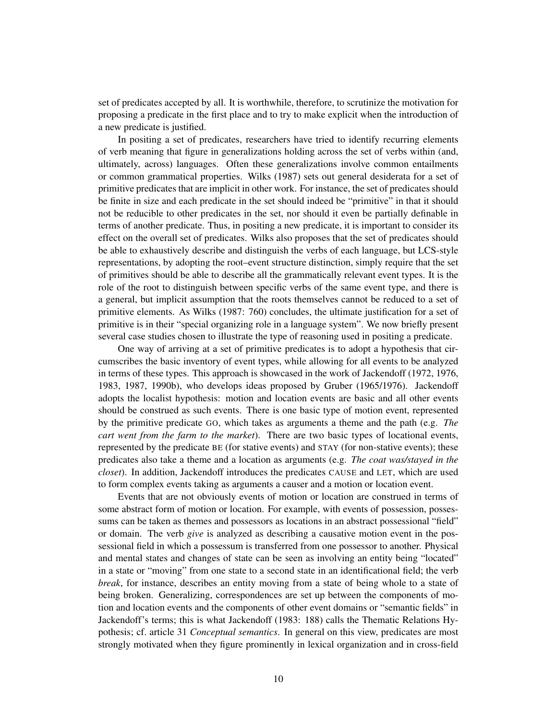set of predicates accepted by all. It is worthwhile, therefore, to scrutinize the motivation for proposing a predicate in the first place and to try to make explicit when the introduction of a new predicate is justified.

In positing a set of predicates, researchers have tried to identify recurring elements of verb meaning that figure in generalizations holding across the set of verbs within (and, ultimately, across) languages. Often these generalizations involve common entailments or common grammatical properties. Wilks (1987) sets out general desiderata for a set of primitive predicates that are implicit in other work. For instance, the set of predicates should be finite in size and each predicate in the set should indeed be "primitive" in that it should not be reducible to other predicates in the set, nor should it even be partially definable in terms of another predicate. Thus, in positing a new predicate, it is important to consider its effect on the overall set of predicates. Wilks also proposes that the set of predicates should be able to exhaustively describe and distinguish the verbs of each language, but LCS-style representations, by adopting the root–event structure distinction, simply require that the set of primitives should be able to describe all the grammatically relevant event types. It is the role of the root to distinguish between specific verbs of the same event type, and there is a general, but implicit assumption that the roots themselves cannot be reduced to a set of primitive elements. As Wilks (1987: 760) concludes, the ultimate justification for a set of primitive is in their "special organizing role in a language system". We now briefly present several case studies chosen to illustrate the type of reasoning used in positing a predicate.

One way of arriving at a set of primitive predicates is to adopt a hypothesis that circumscribes the basic inventory of event types, while allowing for all events to be analyzed in terms of these types. This approach is showcased in the work of Jackendoff (1972, 1976, 1983, 1987, 1990b), who develops ideas proposed by Gruber (1965/1976). Jackendoff adopts the localist hypothesis: motion and location events are basic and all other events should be construed as such events. There is one basic type of motion event, represented by the primitive predicate GO, which takes as arguments a theme and the path (e.g. *The cart went from the farm to the market*). There are two basic types of locational events, represented by the predicate BE (for stative events) and STAY (for non-stative events); these predicates also take a theme and a location as arguments (e.g. *The coat was/stayed in the closet*). In addition, Jackendoff introduces the predicates CAUSE and LET, which are used to form complex events taking as arguments a causer and a motion or location event.

Events that are not obviously events of motion or location are construed in terms of some abstract form of motion or location. For example, with events of possession, possessums can be taken as themes and possessors as locations in an abstract possessional "field" or domain. The verb *give* is analyzed as describing a causative motion event in the possessional field in which a possessum is transferred from one possessor to another. Physical and mental states and changes of state can be seen as involving an entity being "located" in a state or "moving" from one state to a second state in an identificational field; the verb *break*, for instance, describes an entity moving from a state of being whole to a state of being broken. Generalizing, correspondences are set up between the components of motion and location events and the components of other event domains or "semantic fields" in Jackendoff's terms; this is what Jackendoff (1983: 188) calls the Thematic Relations Hypothesis; cf. article 31 *Conceptual semantics*. In general on this view, predicates are most strongly motivated when they figure prominently in lexical organization and in cross-field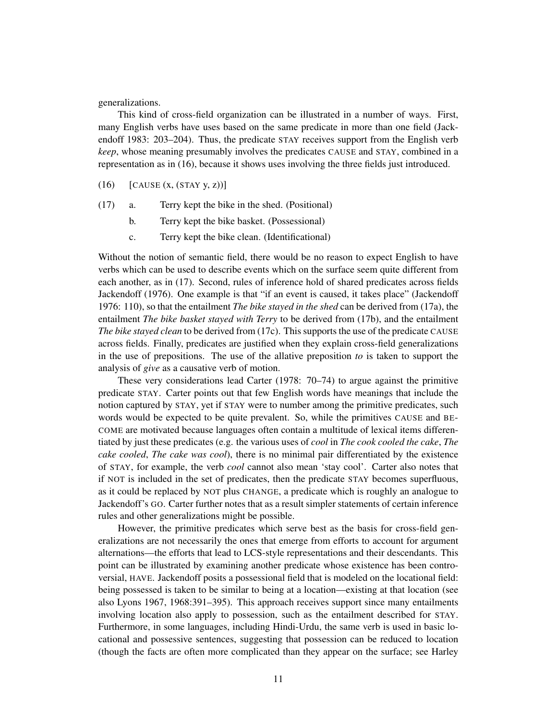generalizations.

This kind of cross-field organization can be illustrated in a number of ways. First, many English verbs have uses based on the same predicate in more than one field (Jackendoff 1983: 203–204). Thus, the predicate STAY receives support from the English verb *keep*, whose meaning presumably involves the predicates CAUSE and STAY, combined in a representation as in (16), because it shows uses involving the three fields just introduced.

- (16)  $[CAUSE (x, (STAT y, z))]$
- (17) a. Terry kept the bike in the shed. (Positional)
	- b. Terry kept the bike basket. (Possessional)
	- c. Terry kept the bike clean. (Identificational)

Without the notion of semantic field, there would be no reason to expect English to have verbs which can be used to describe events which on the surface seem quite different from each another, as in (17). Second, rules of inference hold of shared predicates across fields Jackendoff (1976). One example is that "if an event is caused, it takes place" (Jackendoff 1976: 110), so that the entailment *The bike stayed in the shed* can be derived from (17a), the entailment *The bike basket stayed with Terry* to be derived from (17b), and the entailment *The bike stayed clean* to be derived from (17c). This supports the use of the predicate CAUSE across fields. Finally, predicates are justified when they explain cross-field generalizations in the use of prepositions. The use of the allative preposition *to* is taken to support the analysis of *give* as a causative verb of motion.

These very considerations lead Carter (1978: 70–74) to argue against the primitive predicate STAY. Carter points out that few English words have meanings that include the notion captured by STAY, yet if STAY were to number among the primitive predicates, such words would be expected to be quite prevalent. So, while the primitives CAUSE and BE-COME are motivated because languages often contain a multitude of lexical items differentiated by just these predicates (e.g. the various uses of *cool* in *The cook cooled the cake*, *The cake cooled*, *The cake was cool*), there is no minimal pair differentiated by the existence of STAY, for example, the verb *cool* cannot also mean 'stay cool'. Carter also notes that if NOT is included in the set of predicates, then the predicate STAY becomes superfluous, as it could be replaced by NOT plus CHANGE, a predicate which is roughly an analogue to Jackendoff's GO. Carter further notes that as a result simpler statements of certain inference rules and other generalizations might be possible.

However, the primitive predicates which serve best as the basis for cross-field generalizations are not necessarily the ones that emerge from efforts to account for argument alternations—the efforts that lead to LCS-style representations and their descendants. This point can be illustrated by examining another predicate whose existence has been controversial, HAVE. Jackendoff posits a possessional field that is modeled on the locational field: being possessed is taken to be similar to being at a location—existing at that location (see also Lyons 1967, 1968:391–395). This approach receives support since many entailments involving location also apply to possession, such as the entailment described for STAY. Furthermore, in some languages, including Hindi-Urdu, the same verb is used in basic locational and possessive sentences, suggesting that possession can be reduced to location (though the facts are often more complicated than they appear on the surface; see Harley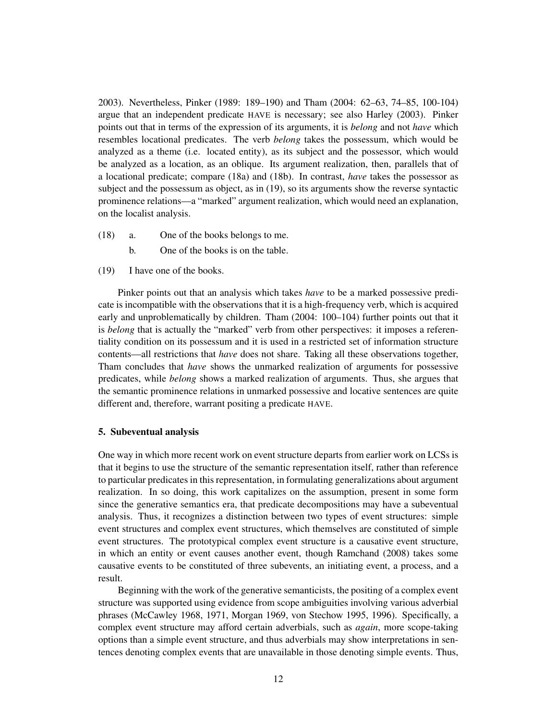2003). Nevertheless, Pinker (1989: 189–190) and Tham (2004: 62–63, 74–85, 100-104) argue that an independent predicate HAVE is necessary; see also Harley (2003). Pinker points out that in terms of the expression of its arguments, it is *belong* and not *have* which resembles locational predicates. The verb *belong* takes the possessum, which would be analyzed as a theme (i.e. located entity), as its subject and the possessor, which would be analyzed as a location, as an oblique. Its argument realization, then, parallels that of a locational predicate; compare (18a) and (18b). In contrast, *have* takes the possessor as subject and the possessum as object, as in (19), so its arguments show the reverse syntactic prominence relations—a "marked" argument realization, which would need an explanation, on the localist analysis.

- (18) a. One of the books belongs to me.
	- b. One of the books is on the table.
- (19) I have one of the books.

Pinker points out that an analysis which takes *have* to be a marked possessive predicate is incompatible with the observations that it is a high-frequency verb, which is acquired early and unproblematically by children. Tham (2004: 100–104) further points out that it is *belong* that is actually the "marked" verb from other perspectives: it imposes a referentiality condition on its possessum and it is used in a restricted set of information structure contents—all restrictions that *have* does not share. Taking all these observations together, Tham concludes that *have* shows the unmarked realization of arguments for possessive predicates, while *belong* shows a marked realization of arguments. Thus, she argues that the semantic prominence relations in unmarked possessive and locative sentences are quite different and, therefore, warrant positing a predicate HAVE.

### 5. Subeventual analysis

One way in which more recent work on event structure departs from earlier work on LCSs is that it begins to use the structure of the semantic representation itself, rather than reference to particular predicates in this representation, in formulating generalizations about argument realization. In so doing, this work capitalizes on the assumption, present in some form since the generative semantics era, that predicate decompositions may have a subeventual analysis. Thus, it recognizes a distinction between two types of event structures: simple event structures and complex event structures, which themselves are constituted of simple event structures. The prototypical complex event structure is a causative event structure, in which an entity or event causes another event, though Ramchand (2008) takes some causative events to be constituted of three subevents, an initiating event, a process, and a result.

Beginning with the work of the generative semanticists, the positing of a complex event structure was supported using evidence from scope ambiguities involving various adverbial phrases (McCawley 1968, 1971, Morgan 1969, von Stechow 1995, 1996). Specifically, a complex event structure may afford certain adverbials, such as *again*, more scope-taking options than a simple event structure, and thus adverbials may show interpretations in sentences denoting complex events that are unavailable in those denoting simple events. Thus,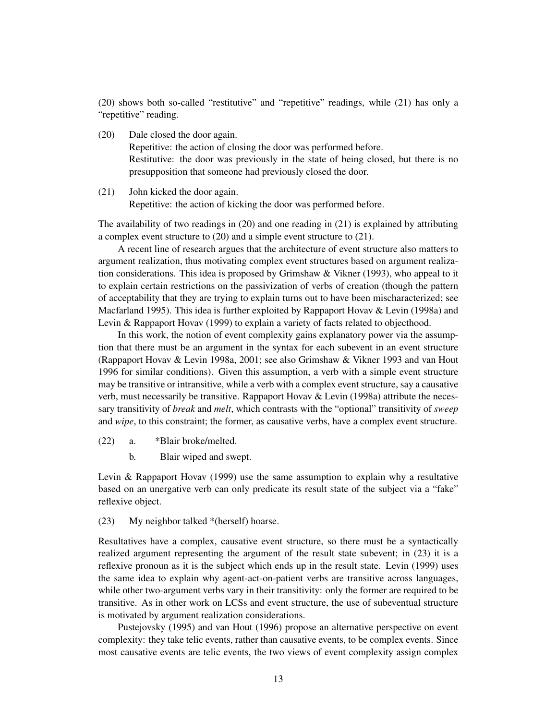(20) shows both so-called "restitutive" and "repetitive" readings, while (21) has only a "repetitive" reading.

- (20) Dale closed the door again. Repetitive: the action of closing the door was performed before. Restitutive: the door was previously in the state of being closed, but there is no presupposition that someone had previously closed the door.
- (21) John kicked the door again. Repetitive: the action of kicking the door was performed before.

The availability of two readings in (20) and one reading in (21) is explained by attributing a complex event structure to (20) and a simple event structure to (21).

A recent line of research argues that the architecture of event structure also matters to argument realization, thus motivating complex event structures based on argument realization considerations. This idea is proposed by Grimshaw & Vikner  $(1993)$ , who appeal to it to explain certain restrictions on the passivization of verbs of creation (though the pattern of acceptability that they are trying to explain turns out to have been mischaracterized; see Macfarland 1995). This idea is further exploited by Rappaport Hovav & Levin (1998a) and Levin & Rappaport Hovav (1999) to explain a variety of facts related to objecthood.

In this work, the notion of event complexity gains explanatory power via the assumption that there must be an argument in the syntax for each subevent in an event structure (Rappaport Hovav & Levin 1998a, 2001; see also Grimshaw & Vikner 1993 and van Hout 1996 for similar conditions). Given this assumption, a verb with a simple event structure may be transitive or intransitive, while a verb with a complex event structure, say a causative verb, must necessarily be transitive. Rappaport Hovav & Levin (1998a) attribute the necessary transitivity of *break* and *melt*, which contrasts with the "optional" transitivity of *sweep* and *wipe*, to this constraint; the former, as causative verbs, have a complex event structure.

- (22) a. \*Blair broke/melted.
	- b. Blair wiped and swept.

Levin & Rappaport Hovav (1999) use the same assumption to explain why a resultative based on an unergative verb can only predicate its result state of the subject via a "fake" reflexive object.

(23) My neighbor talked \*(herself) hoarse.

Resultatives have a complex, causative event structure, so there must be a syntactically realized argument representing the argument of the result state subevent; in (23) it is a reflexive pronoun as it is the subject which ends up in the result state. Levin (1999) uses the same idea to explain why agent-act-on-patient verbs are transitive across languages, while other two-argument verbs vary in their transitivity: only the former are required to be transitive. As in other work on LCSs and event structure, the use of subeventual structure is motivated by argument realization considerations.

Pustejovsky (1995) and van Hout (1996) propose an alternative perspective on event complexity: they take telic events, rather than causative events, to be complex events. Since most causative events are telic events, the two views of event complexity assign complex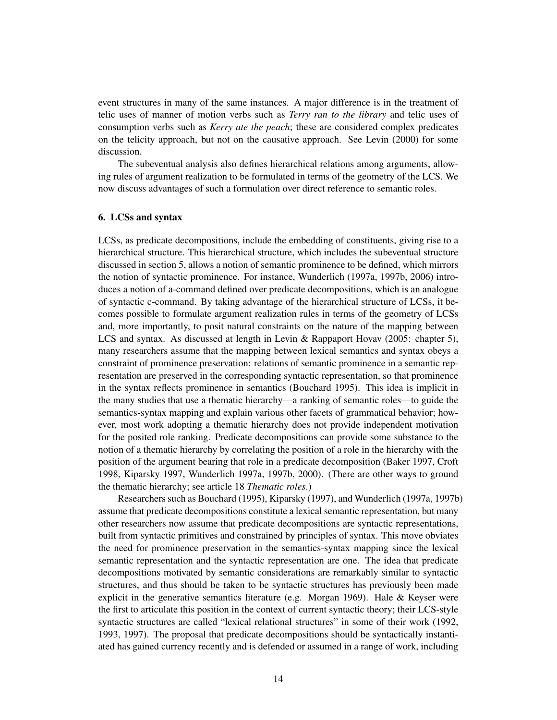event structures in many of the same instances. A major difference is in the treatment of telic uses of manner of motion verbs such as *Terry ran to the library* and telic uses of consumption verbs such as *Kerry ate the peach*; these are considered complex predicates on the telicity approach, but not on the causative approach. See Levin (2000) for some discussion.

The subeventual analysis also defines hierarchical relations among arguments, allowing rules of argument realization to be formulated in terms of the geometry of the LCS. We now discuss advantages of such a formulation over direct reference to semantic roles.

# 6. LCSs and syntax

LCSs, as predicate decompositions, include the embedding of constituents, giving rise to a hierarchical structure. This hierarchical structure, which includes the subeventual structure discussed in section 5, allows a notion of semantic prominence to be defined, which mirrors the notion of syntactic prominence. For instance, Wunderlich (1997a, 1997b, 2006) introduces a notion of a-command defined over predicate decompositions, which is an analogue of syntactic c-command. By taking advantage of the hierarchical structure of LCSs, it becomes possible to formulate argument realization rules in terms of the geometry of LCSs and, more importantly, to posit natural constraints on the nature of the mapping between LCS and syntax. As discussed at length in Levin & Rappaport Hovav (2005: chapter 5), many researchers assume that the mapping between lexical semantics and syntax obeys a constraint of prominence preservation: relations of semantic prominence in a semantic representation are preserved in the corresponding syntactic representation, so that prominence in the syntax reflects prominence in semantics (Bouchard 1995). This idea is implicit in the many studies that use a thematic hierarchy—a ranking of semantic roles—to guide the semantics-syntax mapping and explain various other facets of grammatical behavior; however, most work adopting a thematic hierarchy does not provide independent motivation for the posited role ranking. Predicate decompositions can provide some substance to the notion of a thematic hierarchy by correlating the position of a role in the hierarchy with the position of the argument bearing that role in a predicate decomposition (Baker 1997, Croft 1998, Kiparsky 1997, Wunderlich 1997a, 1997b, 2000). (There are other ways to ground the thematic hierarchy; see article 18 *Thematic roles*.)

Researchers such as Bouchard (1995), Kiparsky (1997), and Wunderlich (1997a, 1997b) assume that predicate decompositions constitute a lexical semantic representation, but many other researchers now assume that predicate decompositions are syntactic representations, built from syntactic primitives and constrained by principles of syntax. This move obviates the need for prominence preservation in the semantics-syntax mapping since the lexical semantic representation and the syntactic representation are one. The idea that predicate decompositions motivated by semantic considerations are remarkably similar to syntactic structures, and thus should be taken to be syntactic structures has previously been made explicit in the generative semantics literature (e.g. Morgan 1969). Hale  $&$  Keyser were the first to articulate this position in the context of current syntactic theory; their LCS-style syntactic structures are called "lexical relational structures" in some of their work (1992, 1993, 1997). The proposal that predicate decompositions should be syntactically instantiated has gained currency recently and is defended or assumed in a range of work, including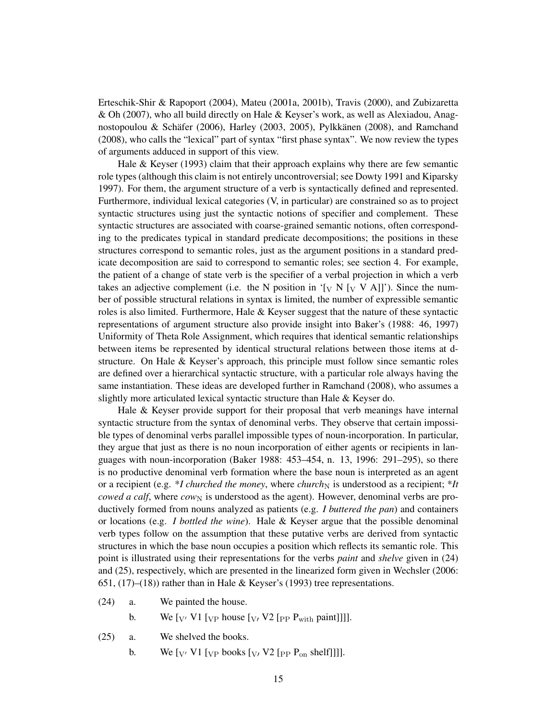Erteschik-Shir & Rapoport (2004), Mateu (2001a, 2001b), Travis (2000), and Zubizaretta & Oh (2007), who all build directly on Hale & Keyser's work, as well as Alexiadou, Anagnostopoulou & Schäfer (2006), Harley (2003, 2005), Pylkkänen (2008), and Ramchand (2008), who calls the "lexical" part of syntax "first phase syntax". We now review the types of arguments adduced in support of this view.

Hale  $&$  Keyser (1993) claim that their approach explains why there are few semantic role types (although this claim is not entirely uncontroversial; see Dowty 1991 and Kiparsky 1997). For them, the argument structure of a verb is syntactically defined and represented. Furthermore, individual lexical categories (V, in particular) are constrained so as to project syntactic structures using just the syntactic notions of specifier and complement. These syntactic structures are associated with coarse-grained semantic notions, often corresponding to the predicates typical in standard predicate decompositions; the positions in these structures correspond to semantic roles, just as the argument positions in a standard predicate decomposition are said to correspond to semantic roles; see section 4. For example, the patient of a change of state verb is the specifier of a verbal projection in which a verb takes an adjective complement (i.e. the N position in '[ $_V$  N [ $_V$  V A]]'). Since the number of possible structural relations in syntax is limited, the number of expressible semantic roles is also limited. Furthermore, Hale  $&$  Keyser suggest that the nature of these syntactic representations of argument structure also provide insight into Baker's (1988: 46, 1997) Uniformity of Theta Role Assignment, which requires that identical semantic relationships between items be represented by identical structural relations between those items at dstructure. On Hale  $&$  Keyser's approach, this principle must follow since semantic roles are defined over a hierarchical syntactic structure, with a particular role always having the same instantiation. These ideas are developed further in Ramchand (2008), who assumes a slightly more articulated lexical syntactic structure than Hale & Keyser do.

Hale & Keyser provide support for their proposal that verb meanings have internal syntactic structure from the syntax of denominal verbs. They observe that certain impossible types of denominal verbs parallel impossible types of noun-incorporation. In particular, they argue that just as there is no noun incorporation of either agents or recipients in languages with noun-incorporation (Baker 1988: 453–454, n. 13, 1996: 291–295), so there is no productive denominal verb formation where the base noun is interpreted as an agent or a recipient (e.g. \**I churched the money*, where *church*<sub>N</sub> is understood as a recipient; \**It cowed a calf*, where  $cow_N$  is understood as the agent). However, denominal verbs are productively formed from nouns analyzed as patients (e.g. *I buttered the pan*) and containers or locations (e.g. *I bottled the wine*). Hale & Keyser argue that the possible denominal verb types follow on the assumption that these putative verbs are derived from syntactic structures in which the base noun occupies a position which reflects its semantic role. This point is illustrated using their representations for the verbs *paint* and *shelve* given in (24) and (25), respectively, which are presented in the linearized form given in Wechsler (2006: 651, (17)–(18)) rather than in Hale & Keyser's (1993) tree representations.

- (24) a. We painted the house.
	- b. We  $[vV]$   $[VP]$  house  $[vV]$   $[VQ]$   $[PP$   $P<sub>with</sub>$  paint]]]].
- (25) a. We shelved the books.
	- b. We  $[vV]$  V1  $[vP]$  books  $[vV]$   $[vP]$ <sub>on</sub> shelf]]].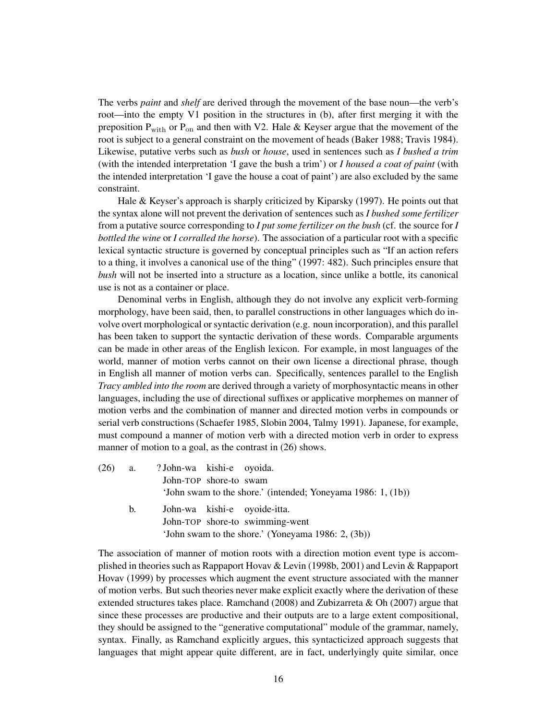The verbs *paint* and *shelf* are derived through the movement of the base noun—the verb's root—into the empty V1 position in the structures in (b), after first merging it with the preposition  $P_{\text{with}}$  or  $P_{\text{on}}$  and then with V2. Hale & Keyser argue that the movement of the root is subject to a general constraint on the movement of heads (Baker 1988; Travis 1984). Likewise, putative verbs such as *bush* or *house*, used in sentences such as *I bushed a trim* (with the intended interpretation 'I gave the bush a trim') or *I housed a coat of paint* (with the intended interpretation 'I gave the house a coat of paint') are also excluded by the same constraint.

Hale & Keyser's approach is sharply criticized by Kiparsky (1997). He points out that the syntax alone will not prevent the derivation of sentences such as *I bushed some fertilizer* from a putative source corresponding to *I put some fertilizer on the bush* (cf. the source for *I bottled the wine* or *I corralled the horse*). The association of a particular root with a specific lexical syntactic structure is governed by conceptual principles such as "If an action refers to a thing, it involves a canonical use of the thing" (1997: 482). Such principles ensure that *bush* will not be inserted into a structure as a location, since unlike a bottle, its canonical use is not as a container or place.

Denominal verbs in English, although they do not involve any explicit verb-forming morphology, have been said, then, to parallel constructions in other languages which do involve overt morphological or syntactic derivation (e.g. noun incorporation), and this parallel has been taken to support the syntactic derivation of these words. Comparable arguments can be made in other areas of the English lexicon. For example, in most languages of the world, manner of motion verbs cannot on their own license a directional phrase, though in English all manner of motion verbs can. Specifically, sentences parallel to the English *Tracy ambled into the room* are derived through a variety of morphosyntactic means in other languages, including the use of directional suffixes or applicative morphemes on manner of motion verbs and the combination of manner and directed motion verbs in compounds or serial verb constructions (Schaefer 1985, Slobin 2004, Talmy 1991). Japanese, for example, must compound a manner of motion verb with a directed motion verb in order to express manner of motion to a goal, as the contrast in  $(26)$  shows.

| (26) | a. | ? John-wa kishi-e oyoida.                                    |
|------|----|--------------------------------------------------------------|
|      |    | John-TOP shore-to swam                                       |
|      |    | 'John swam to the shore.' (intended; Yoneyama 1986: 1, (1b)) |
|      | b. | John-wa kishi-e oyoide-itta.                                 |
|      |    | John-TOP shore-to swimming-went                              |

'John swam to the shore.' (Yoneyama 1986: 2, (3b))

The association of manner of motion roots with a direction motion event type is accomplished in theories such as Rappaport Hovav & Levin (1998b, 2001) and Levin & Rappaport Hovav (1999) by processes which augment the event structure associated with the manner of motion verbs. But such theories never make explicit exactly where the derivation of these extended structures takes place. Ramchand  $(2008)$  and Zubizarreta & Oh  $(2007)$  argue that since these processes are productive and their outputs are to a large extent compositional, they should be assigned to the "generative computational" module of the grammar, namely, syntax. Finally, as Ramchand explicitly argues, this syntacticized approach suggests that languages that might appear quite different, are in fact, underlyingly quite similar, once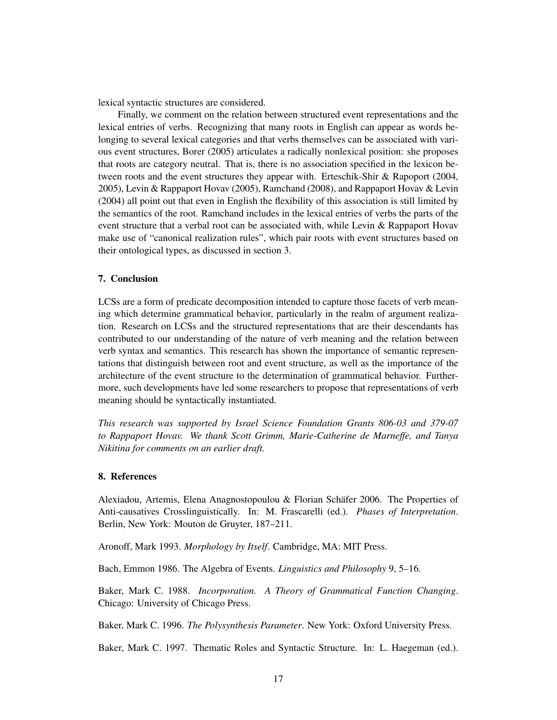lexical syntactic structures are considered.

Finally, we comment on the relation between structured event representations and the lexical entries of verbs. Recognizing that many roots in English can appear as words belonging to several lexical categories and that verbs themselves can be associated with various event structures, Borer (2005) articulates a radically nonlexical position: she proposes that roots are category neutral. That is, there is no association specified in the lexicon between roots and the event structures they appear with. Erteschik-Shir & Rapoport (2004, 2005), Levin & Rappaport Hovav (2005), Ramchand (2008), and Rappaport Hovav & Levin (2004) all point out that even in English the flexibility of this association is still limited by the semantics of the root. Ramchand includes in the lexical entries of verbs the parts of the event structure that a verbal root can be associated with, while Levin & Rappaport Hovav make use of "canonical realization rules", which pair roots with event structures based on their ontological types, as discussed in section 3.

#### 7. Conclusion

LCSs are a form of predicate decomposition intended to capture those facets of verb meaning which determine grammatical behavior, particularly in the realm of argument realization. Research on LCSs and the structured representations that are their descendants has contributed to our understanding of the nature of verb meaning and the relation between verb syntax and semantics. This research has shown the importance of semantic representations that distinguish between root and event structure, as well as the importance of the architecture of the event structure to the determination of grammatical behavior. Furthermore, such developments have led some researchers to propose that representations of verb meaning should be syntactically instantiated.

*This research was supported by Israel Science Foundation Grants 806-03 and 379-07 to Rappaport Hovav. We thank Scott Grimm, Marie-Catherine de Marneffe, and Tanya Nikitina for comments on an earlier draft.*

### 8. References

Alexiadou, Artemis, Elena Anagnostopoulou & Florian Schäfer 2006. The Properties of Anti-causatives Crosslinguistically. In: M. Frascarelli (ed.). *Phases of Interpretation*. Berlin, New York: Mouton de Gruyter, 187–211.

Aronoff, Mark 1993. *Morphology by Itself*. Cambridge, MA: MIT Press.

Bach, Emmon 1986. The Algebra of Events. *Linguistics and Philosophy* 9, 5–16.

Baker, Mark C. 1988. *Incorporation. A Theory of Grammatical Function Changing*. Chicago: University of Chicago Press.

Baker, Mark C. 1996. *The Polysynthesis Parameter*. New York: Oxford University Press.

Baker, Mark C. 1997. Thematic Roles and Syntactic Structure. In: L. Haegeman (ed.).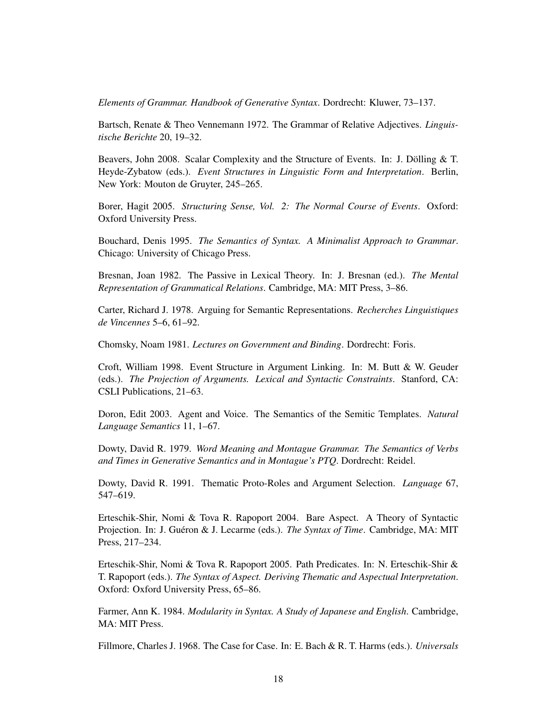*Elements of Grammar. Handbook of Generative Syntax*. Dordrecht: Kluwer, 73–137.

Bartsch, Renate & Theo Vennemann 1972. The Grammar of Relative Adjectives. *Linguistische Berichte* 20, 19–32.

Beavers, John 2008. Scalar Complexity and the Structure of Events. In: J. Dölling & T. Heyde-Zybatow (eds.). *Event Structures in Linguistic Form and Interpretation*. Berlin, New York: Mouton de Gruyter, 245–265.

Borer, Hagit 2005. *Structuring Sense, Vol. 2: The Normal Course of Events*. Oxford: Oxford University Press.

Bouchard, Denis 1995. *The Semantics of Syntax. A Minimalist Approach to Grammar*. Chicago: University of Chicago Press.

Bresnan, Joan 1982. The Passive in Lexical Theory. In: J. Bresnan (ed.). *The Mental Representation of Grammatical Relations*. Cambridge, MA: MIT Press, 3–86.

Carter, Richard J. 1978. Arguing for Semantic Representations. *Recherches Linguistiques de Vincennes* 5–6, 61–92.

Chomsky, Noam 1981. *Lectures on Government and Binding*. Dordrecht: Foris.

Croft, William 1998. Event Structure in Argument Linking. In: M. Butt & W. Geuder (eds.). *The Projection of Arguments. Lexical and Syntactic Constraints*. Stanford, CA: CSLI Publications, 21–63.

Doron, Edit 2003. Agent and Voice. The Semantics of the Semitic Templates. *Natural Language Semantics* 11, 1–67.

Dowty, David R. 1979. *Word Meaning and Montague Grammar. The Semantics of Verbs and Times in Generative Semantics and in Montague's PTQ*. Dordrecht: Reidel.

Dowty, David R. 1991. Thematic Proto-Roles and Argument Selection. *Language* 67, 547–619.

Erteschik-Shir, Nomi & Tova R. Rapoport 2004. Bare Aspect. A Theory of Syntactic Projection. In: J. Guéron & J. Lecarme (eds.). *The Syntax of Time*. Cambridge, MA: MIT Press, 217–234.

Erteschik-Shir, Nomi & Tova R. Rapoport 2005. Path Predicates. In: N. Erteschik-Shir & T. Rapoport (eds.). *The Syntax of Aspect. Deriving Thematic and Aspectual Interpretation*. Oxford: Oxford University Press, 65–86.

Farmer, Ann K. 1984. *Modularity in Syntax. A Study of Japanese and English*. Cambridge, MA: MIT Press.

Fillmore, Charles J. 1968. The Case for Case. In: E. Bach & R. T. Harms (eds.). *Universals*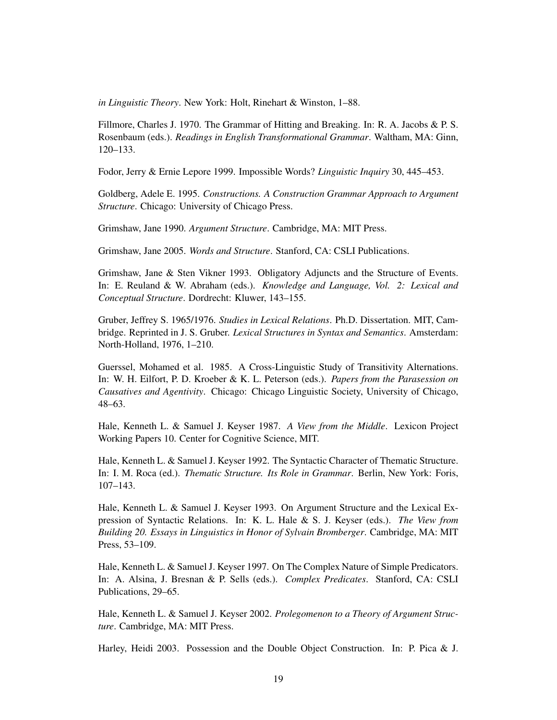*in Linguistic Theory*. New York: Holt, Rinehart & Winston, 1–88.

Fillmore, Charles J. 1970. The Grammar of Hitting and Breaking. In: R. A. Jacobs & P. S. Rosenbaum (eds.). *Readings in English Transformational Grammar*. Waltham, MA: Ginn, 120–133.

Fodor, Jerry & Ernie Lepore 1999. Impossible Words? *Linguistic Inquiry* 30, 445–453.

Goldberg, Adele E. 1995. *Constructions. A Construction Grammar Approach to Argument Structure*. Chicago: University of Chicago Press.

Grimshaw, Jane 1990. *Argument Structure*. Cambridge, MA: MIT Press.

Grimshaw, Jane 2005. *Words and Structure*. Stanford, CA: CSLI Publications.

Grimshaw, Jane & Sten Vikner 1993. Obligatory Adjuncts and the Structure of Events. In: E. Reuland & W. Abraham (eds.). *Knowledge and Language, Vol. 2: Lexical and Conceptual Structure*. Dordrecht: Kluwer, 143–155.

Gruber, Jeffrey S. 1965/1976. *Studies in Lexical Relations*. Ph.D. Dissertation. MIT, Cambridge. Reprinted in J. S. Gruber. *Lexical Structures in Syntax and Semantics*. Amsterdam: North-Holland, 1976, 1–210.

Guerssel, Mohamed et al. 1985. A Cross-Linguistic Study of Transitivity Alternations. In: W. H. Eilfort, P. D. Kroeber & K. L. Peterson (eds.). *Papers from the Parasession on Causatives and Agentivity*. Chicago: Chicago Linguistic Society, University of Chicago, 48–63.

Hale, Kenneth L. & Samuel J. Keyser 1987. *A View from the Middle*. Lexicon Project Working Papers 10. Center for Cognitive Science, MIT.

Hale, Kenneth L. & Samuel J. Keyser 1992. The Syntactic Character of Thematic Structure. In: I. M. Roca (ed.). *Thematic Structure. Its Role in Grammar*. Berlin, New York: Foris, 107–143.

Hale, Kenneth L. & Samuel J. Keyser 1993. On Argument Structure and the Lexical Expression of Syntactic Relations. In: K. L. Hale & S. J. Keyser (eds.). *The View from Building 20. Essays in Linguistics in Honor of Sylvain Bromberger*. Cambridge, MA: MIT Press, 53–109.

Hale, Kenneth L. & Samuel J. Keyser 1997. On The Complex Nature of Simple Predicators. In: A. Alsina, J. Bresnan & P. Sells (eds.). *Complex Predicates*. Stanford, CA: CSLI Publications, 29–65.

Hale, Kenneth L. & Samuel J. Keyser 2002. *Prolegomenon to a Theory of Argument Structure*. Cambridge, MA: MIT Press.

Harley, Heidi 2003. Possession and the Double Object Construction. In: P. Pica & J.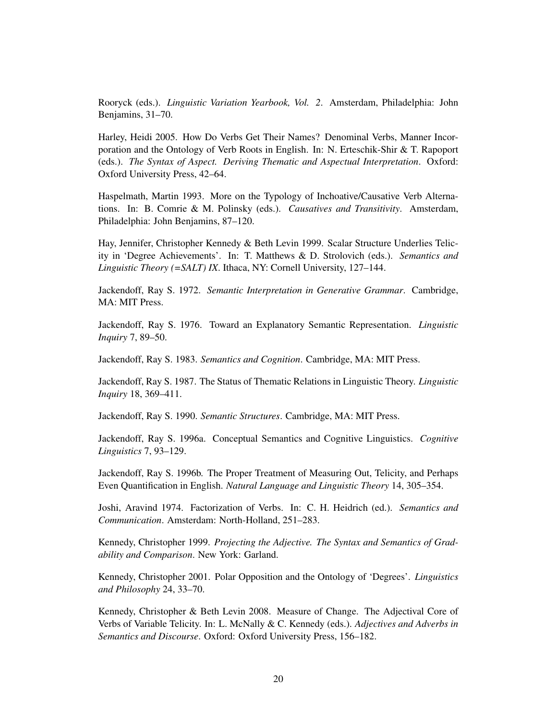Rooryck (eds.). *Linguistic Variation Yearbook, Vol. 2*. Amsterdam, Philadelphia: John Benjamins, 31–70.

Harley, Heidi 2005. How Do Verbs Get Their Names? Denominal Verbs, Manner Incorporation and the Ontology of Verb Roots in English. In: N. Erteschik-Shir & T. Rapoport (eds.). *The Syntax of Aspect. Deriving Thematic and Aspectual Interpretation*. Oxford: Oxford University Press, 42–64.

Haspelmath, Martin 1993. More on the Typology of Inchoative/Causative Verb Alternations. In: B. Comrie & M. Polinsky (eds.). *Causatives and Transitivity*. Amsterdam, Philadelphia: John Benjamins, 87–120.

Hay, Jennifer, Christopher Kennedy & Beth Levin 1999. Scalar Structure Underlies Telicity in 'Degree Achievements'. In: T. Matthews & D. Strolovich (eds.). *Semantics and Linguistic Theory (=SALT) IX*. Ithaca, NY: Cornell University, 127–144.

Jackendoff, Ray S. 1972. *Semantic Interpretation in Generative Grammar*. Cambridge, MA: MIT Press.

Jackendoff, Ray S. 1976. Toward an Explanatory Semantic Representation. *Linguistic Inquiry* 7, 89–50.

Jackendoff, Ray S. 1983. *Semantics and Cognition*. Cambridge, MA: MIT Press.

Jackendoff, Ray S. 1987. The Status of Thematic Relations in Linguistic Theory. *Linguistic Inquiry* 18, 369–411.

Jackendoff, Ray S. 1990. *Semantic Structures*. Cambridge, MA: MIT Press.

Jackendoff, Ray S. 1996a. Conceptual Semantics and Cognitive Linguistics. *Cognitive Linguistics* 7, 93–129.

Jackendoff, Ray S. 1996b. The Proper Treatment of Measuring Out, Telicity, and Perhaps Even Quantification in English. *Natural Language and Linguistic Theory* 14, 305–354.

Joshi, Aravind 1974. Factorization of Verbs. In: C. H. Heidrich (ed.). *Semantics and Communication*. Amsterdam: North-Holland, 251–283.

Kennedy, Christopher 1999. *Projecting the Adjective. The Syntax and Semantics of Gradability and Comparison*. New York: Garland.

Kennedy, Christopher 2001. Polar Opposition and the Ontology of 'Degrees'. *Linguistics and Philosophy* 24, 33–70.

Kennedy, Christopher & Beth Levin 2008. Measure of Change. The Adjectival Core of Verbs of Variable Telicity. In: L. McNally & C. Kennedy (eds.). *Adjectives and Adverbs in Semantics and Discourse*. Oxford: Oxford University Press, 156–182.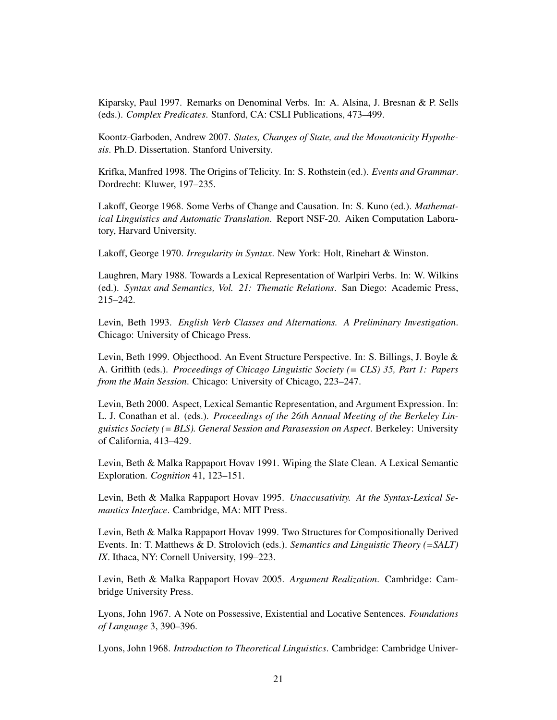Kiparsky, Paul 1997. Remarks on Denominal Verbs. In: A. Alsina, J. Bresnan & P. Sells (eds.). *Complex Predicates*. Stanford, CA: CSLI Publications, 473–499.

Koontz-Garboden, Andrew 2007. *States, Changes of State, and the Monotonicity Hypothesis*. Ph.D. Dissertation. Stanford University.

Krifka, Manfred 1998. The Origins of Telicity. In: S. Rothstein (ed.). *Events and Grammar*. Dordrecht: Kluwer, 197–235.

Lakoff, George 1968. Some Verbs of Change and Causation. In: S. Kuno (ed.). *Mathematical Linguistics and Automatic Translation*. Report NSF-20. Aiken Computation Laboratory, Harvard University.

Lakoff, George 1970. *Irregularity in Syntax*. New York: Holt, Rinehart & Winston.

Laughren, Mary 1988. Towards a Lexical Representation of Warlpiri Verbs. In: W. Wilkins (ed.). *Syntax and Semantics, Vol. 21: Thematic Relations*. San Diego: Academic Press, 215–242.

Levin, Beth 1993. *English Verb Classes and Alternations. A Preliminary Investigation*. Chicago: University of Chicago Press.

Levin, Beth 1999. Objecthood. An Event Structure Perspective. In: S. Billings, J. Boyle & A. Griffith (eds.). *Proceedings of Chicago Linguistic Society (= CLS) 35, Part 1: Papers from the Main Session*. Chicago: University of Chicago, 223–247.

Levin, Beth 2000. Aspect, Lexical Semantic Representation, and Argument Expression. In: L. J. Conathan et al. (eds.). *Proceedings of the 26th Annual Meeting of the Berkeley Linguistics Society (= BLS). General Session and Parasession on Aspect*. Berkeley: University of California, 413–429.

Levin, Beth & Malka Rappaport Hovav 1991. Wiping the Slate Clean. A Lexical Semantic Exploration. *Cognition* 41, 123–151.

Levin, Beth & Malka Rappaport Hovav 1995. *Unaccusativity. At the Syntax-Lexical Semantics Interface*. Cambridge, MA: MIT Press.

Levin, Beth & Malka Rappaport Hovav 1999. Two Structures for Compositionally Derived Events. In: T. Matthews & D. Strolovich (eds.). *Semantics and Linguistic Theory (=SALT) IX*. Ithaca, NY: Cornell University, 199–223.

Levin, Beth & Malka Rappaport Hovav 2005. *Argument Realization*. Cambridge: Cambridge University Press.

Lyons, John 1967. A Note on Possessive, Existential and Locative Sentences. *Foundations of Language* 3, 390–396.

Lyons, John 1968. *Introduction to Theoretical Linguistics*. Cambridge: Cambridge Univer-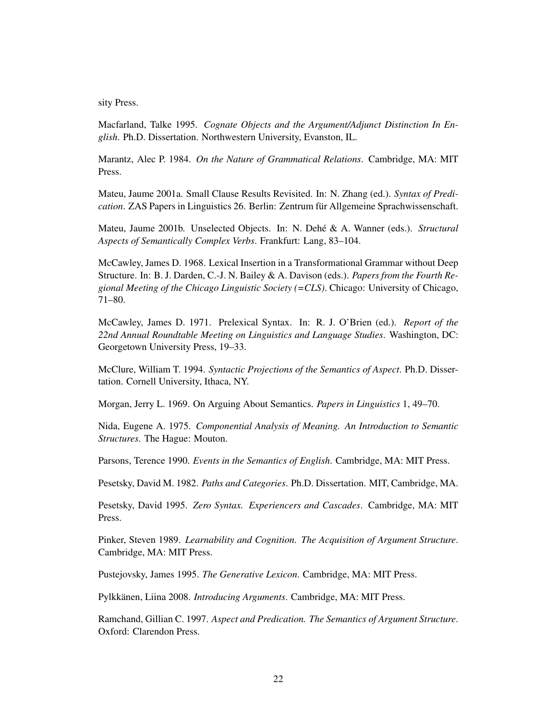sity Press.

Macfarland, Talke 1995. *Cognate Objects and the Argument/Adjunct Distinction In English*. Ph.D. Dissertation. Northwestern University, Evanston, IL.

Marantz, Alec P. 1984. *On the Nature of Grammatical Relations*. Cambridge, MA: MIT Press.

Mateu, Jaume 2001a. Small Clause Results Revisited. In: N. Zhang (ed.). *Syntax of Predication*. ZAS Papers in Linguistics 26. Berlin: Zentrum für Allgemeine Sprachwissenschaft.

Mateu, Jaume 2001b. Unselected Objects. In: N. Dehé & A. Wanner (eds.). *Structural Aspects of Semantically Complex Verbs*. Frankfurt: Lang, 83–104.

McCawley, James D. 1968. Lexical Insertion in a Transformational Grammar without Deep Structure. In: B. J. Darden, C.-J. N. Bailey & A. Davison (eds.). *Papers from the Fourth Regional Meeting of the Chicago Linguistic Society (=CLS)*. Chicago: University of Chicago, 71–80.

McCawley, James D. 1971. Prelexical Syntax. In: R. J. O'Brien (ed.). *Report of the 22nd Annual Roundtable Meeting on Linguistics and Language Studies*. Washington, DC: Georgetown University Press, 19–33.

McClure, William T. 1994. *Syntactic Projections of the Semantics of Aspect*. Ph.D. Dissertation. Cornell University, Ithaca, NY.

Morgan, Jerry L. 1969. On Arguing About Semantics. *Papers in Linguistics* 1, 49–70.

Nida, Eugene A. 1975. *Componential Analysis of Meaning. An Introduction to Semantic Structures*. The Hague: Mouton.

Parsons, Terence 1990. *Events in the Semantics of English*. Cambridge, MA: MIT Press.

Pesetsky, David M. 1982. *Paths and Categories*. Ph.D. Dissertation. MIT, Cambridge, MA.

Pesetsky, David 1995. *Zero Syntax. Experiencers and Cascades*. Cambridge, MA: MIT Press.

Pinker, Steven 1989. *Learnability and Cognition. The Acquisition of Argument Structure*. Cambridge, MA: MIT Press.

Pustejovsky, James 1995. *The Generative Lexicon*. Cambridge, MA: MIT Press.

Pylkkänen, Liina 2008. *Introducing Arguments*. Cambridge, MA: MIT Press.

Ramchand, Gillian C. 1997. *Aspect and Predication. The Semantics of Argument Structure*. Oxford: Clarendon Press.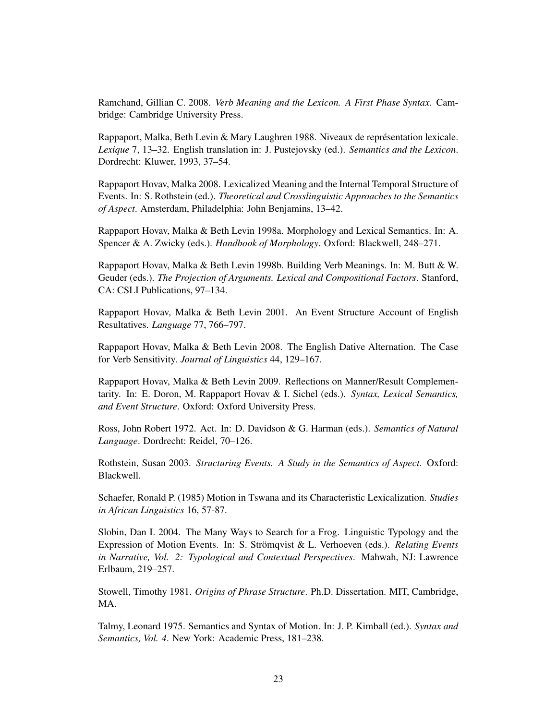Ramchand, Gillian C. 2008. *Verb Meaning and the Lexicon. A First Phase Syntax*. Cambridge: Cambridge University Press.

Rappaport, Malka, Beth Levin & Mary Laughren 1988. Niveaux de representation lexicale. ´ *Lexique* 7, 13–32. English translation in: J. Pustejovsky (ed.). *Semantics and the Lexicon*. Dordrecht: Kluwer, 1993, 37–54.

Rappaport Hovav, Malka 2008. Lexicalized Meaning and the Internal Temporal Structure of Events. In: S. Rothstein (ed.). *Theoretical and Crosslinguistic Approaches to the Semantics of Aspect*. Amsterdam, Philadelphia: John Benjamins, 13–42.

Rappaport Hovav, Malka & Beth Levin 1998a. Morphology and Lexical Semantics. In: A. Spencer & A. Zwicky (eds.). *Handbook of Morphology*. Oxford: Blackwell, 248–271.

Rappaport Hovav, Malka & Beth Levin 1998b. Building Verb Meanings. In: M. Butt & W. Geuder (eds.). *The Projection of Arguments. Lexical and Compositional Factors*. Stanford, CA: CSLI Publications, 97–134.

Rappaport Hovav, Malka & Beth Levin 2001. An Event Structure Account of English Resultatives. *Language* 77, 766–797.

Rappaport Hovav, Malka & Beth Levin 2008. The English Dative Alternation. The Case for Verb Sensitivity. *Journal of Linguistics* 44, 129–167.

Rappaport Hovav, Malka & Beth Levin 2009. Reflections on Manner/Result Complementarity. In: E. Doron, M. Rappaport Hovav & I. Sichel (eds.). *Syntax, Lexical Semantics, and Event Structure*. Oxford: Oxford University Press.

Ross, John Robert 1972. Act. In: D. Davidson & G. Harman (eds.). *Semantics of Natural Language*. Dordrecht: Reidel, 70–126.

Rothstein, Susan 2003. *Structuring Events. A Study in the Semantics of Aspect*. Oxford: Blackwell.

Schaefer, Ronald P. (1985) Motion in Tswana and its Characteristic Lexicalization. *Studies in African Linguistics* 16, 57-87.

Slobin, Dan I. 2004. The Many Ways to Search for a Frog. Linguistic Typology and the Expression of Motion Events. In: S. Strömqvist & L. Verhoeven (eds.). *Relating Events in Narrative, Vol. 2: Typological and Contextual Perspectives*. Mahwah, NJ: Lawrence Erlbaum, 219–257.

Stowell, Timothy 1981. *Origins of Phrase Structure*. Ph.D. Dissertation. MIT, Cambridge, MA.

Talmy, Leonard 1975. Semantics and Syntax of Motion. In: J. P. Kimball (ed.). *Syntax and Semantics, Vol. 4*. New York: Academic Press, 181–238.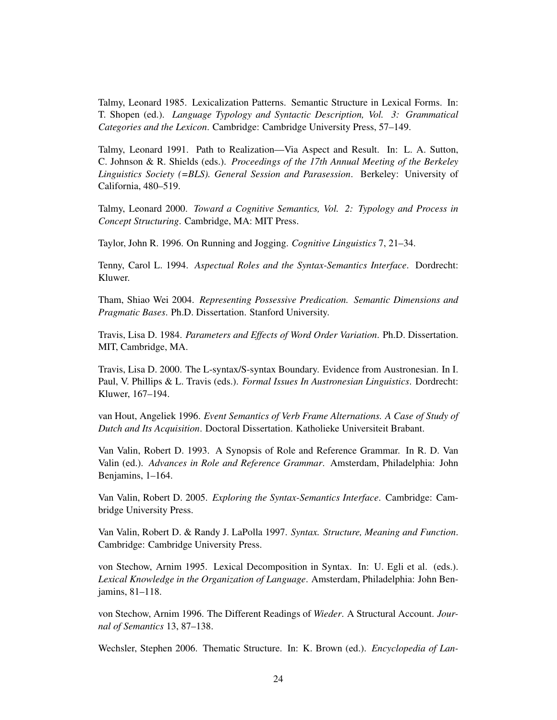Talmy, Leonard 1985. Lexicalization Patterns. Semantic Structure in Lexical Forms. In: T. Shopen (ed.). *Language Typology and Syntactic Description, Vol. 3: Grammatical Categories and the Lexicon*. Cambridge: Cambridge University Press, 57–149.

Talmy, Leonard 1991. Path to Realization—Via Aspect and Result. In: L. A. Sutton, C. Johnson & R. Shields (eds.). *Proceedings of the 17th Annual Meeting of the Berkeley Linguistics Society (=BLS). General Session and Parasession*. Berkeley: University of California, 480–519.

Talmy, Leonard 2000. *Toward a Cognitive Semantics, Vol. 2: Typology and Process in Concept Structuring*. Cambridge, MA: MIT Press.

Taylor, John R. 1996. On Running and Jogging. *Cognitive Linguistics* 7, 21–34.

Tenny, Carol L. 1994. *Aspectual Roles and the Syntax-Semantics Interface*. Dordrecht: Kluwer.

Tham, Shiao Wei 2004. *Representing Possessive Predication. Semantic Dimensions and Pragmatic Bases*. Ph.D. Dissertation. Stanford University.

Travis, Lisa D. 1984. *Parameters and Effects of Word Order Variation*. Ph.D. Dissertation. MIT, Cambridge, MA.

Travis, Lisa D. 2000. The L-syntax/S-syntax Boundary. Evidence from Austronesian. In I. Paul, V. Phillips & L. Travis (eds.). *Formal Issues In Austronesian Linguistics*. Dordrecht: Kluwer, 167–194.

van Hout, Angeliek 1996. *Event Semantics of Verb Frame Alternations. A Case of Study of Dutch and Its Acquisition*. Doctoral Dissertation. Katholieke Universiteit Brabant.

Van Valin, Robert D. 1993. A Synopsis of Role and Reference Grammar. In R. D. Van Valin (ed.). *Advances in Role and Reference Grammar*. Amsterdam, Philadelphia: John Benjamins, 1–164.

Van Valin, Robert D. 2005. *Exploring the Syntax-Semantics Interface*. Cambridge: Cambridge University Press.

Van Valin, Robert D. & Randy J. LaPolla 1997. *Syntax. Structure, Meaning and Function*. Cambridge: Cambridge University Press.

von Stechow, Arnim 1995. Lexical Decomposition in Syntax. In: U. Egli et al. (eds.). *Lexical Knowledge in the Organization of Language*. Amsterdam, Philadelphia: John Benjamins, 81–118.

von Stechow, Arnim 1996. The Different Readings of *Wieder*. A Structural Account. *Journal of Semantics* 13, 87–138.

Wechsler, Stephen 2006. Thematic Structure. In: K. Brown (ed.). *Encyclopedia of Lan-*